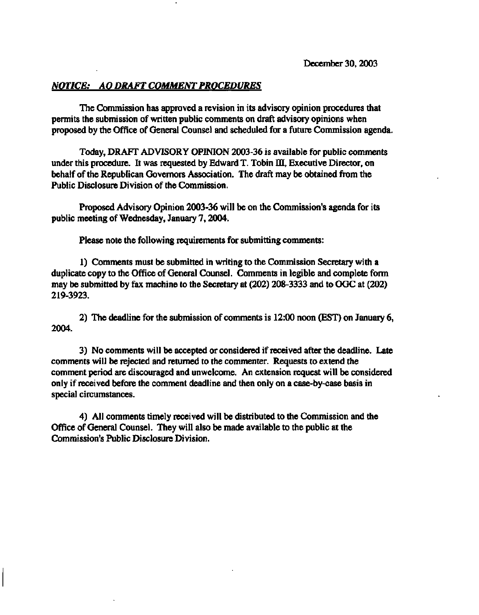# *NOTICE: AO DRAFT COMMENT PROCEDURES*

**The Commission has approved a revision in its advisory opinion procedures that permits the submission of written public comments on draft advisory opinions when proposed by the Office of General Counsel and scheduled for a future Commission agenda.** 

**Today, DRAFT ADVISORY OPINION 2003-36 is available for public comments under this procedure. It was requested by Edward T. Tobin m, Executive Director, on behalf of the Republican Governors Association. The draft may be obtained from the Public Disclosure Division of the Commission.** 

**Proposed Advisory Opinion 2003-36 will be on the Commission's agenda for its public meeting of Wednesday, January 7,2004.** 

**Please note the following requirements for submitting comments:** 

**1) Comments must be submitted in writing to the Commission Secretary with a duplicate copy to the Office of General Counsel. Comments in legible and complete form may be submitted by fax machine to the Secretary at (202) 208-3333 and to OGC at (202) 219-3923.** 

**2) The deadline for the submission of comments is 12:00 noon (EST) on January 6, 2004.** 

**3) No comments will be accepted or considered if received after the deadline. Late comments will be rejected and returned to the commenter. Requests to extend the comment period are discouraged and unwelcome. An extension request will be considered only if received before the comment deadline and then only on a case-by-case basis in special circumstances.** 

**4) All comments timely received will be distributed to the Commission and the Office of General Counsel. They will also be made available to the public at the Commission's Public Disclosure Division.**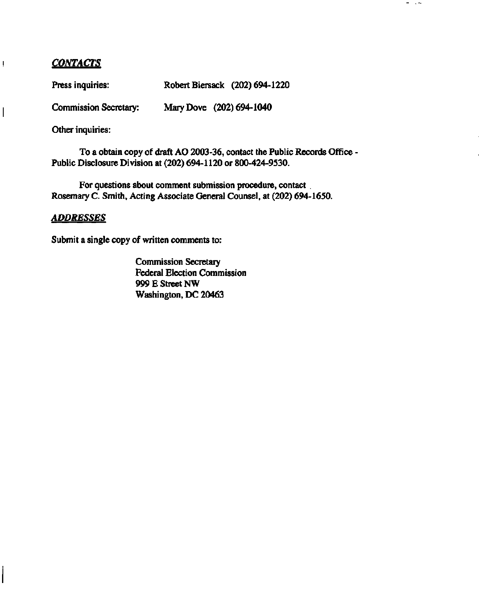# *CONTACTS*

 $\mathop{!}\rule{0pt}{1.1ex}\hspace{-0.25ex}\mathop{!}\hspace{-0.25ex}\mathop{!}\hspace{-0.25ex}\mathop{!}\hspace{-0.25ex}\mathop{!}\hspace{-0.25ex}\mathop{!}\hspace{-0.25ex}\mathop{!}\hspace{-0.25ex}\mathop{!}\hspace{-0.25ex}\mathop{!}\hspace{-0.25ex}\mathop{!}\hspace{-0.25ex}\mathop{!}\hspace{-0.25ex}\mathop{!}\hspace{-0.25ex}\mathop{!}\hspace{-0.25ex}\mathop{!}\hspace{-0.25ex}\mathop{!}\hspace{-0.25ex$ 

 $\overline{\phantom{a}}$ 

Press inquiries: Robert Biersack (202) 694-1220

**Commission Secretary: Mary Dove (202) 694-1040** 

**Other inquiries:** 

**To a obtain copy of draft AO 2003-36, contact the Public Records Office - Public Disclosure Division at (202) 694-1120 or 800-424-9530.** 

 $\sigma_{\rm{max}}$  and  $\sigma_{\rm{max}}$ 

**For questions about comment submission procedure, contact Rosemary C. Smith, Acting Associate General Counsel, at (202) 694-1650.** 

# *ADDRESSES*

**Submit a single copy of written comments to:** 

**Commission Secretary Federal Election Commission 999 E Street NW Washington, DC 20463**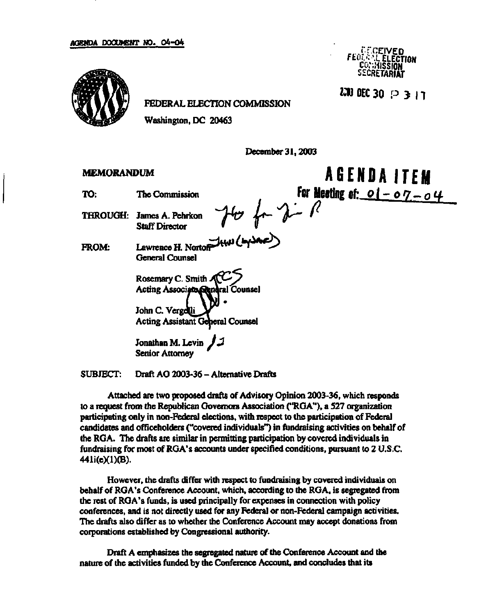

FEDERAL ELECTION COMMISSION

Washington, DC 20463

December 31,2003

# **MEMORANDUM**

- TO: The Commission
- THROUGH: James A. Pehrkon Staff Director

FROM: Lawrence H. Nortof

General Counsel

Rosemary C. Smith  $\mathcal{A}\mathbb{C}$ Acting Associato General Counsel

John C. Verge**t**li Acting Assistant General Counsel

Jonathan M. Levin *J 3*  Senior Attorney

SUBJECT: Draft AO 2003-36 - Alternative Drafts

Attached are two proposed drafts of Advisory Opinion 2003-36, which responds to a request from the Republican Governors Association ("RGA"), a 527 organization participating only in non-Federal elections, with respect to the participation of Federal candidates and officeholders ("covered individuals") in fundraising activities on behalf of the RGA. The drafts are similar in permitting participation by covered individuals in fundraising for most of RGA's accounts under specified conditions, pursuant to 2 U.S.C. 441i(e)(l)(B).

However, the drafts differ with respect to fundraising by covered individuals on behalf of RGA's Conference Account, which, according to the RGA, is segregated from the rest of RGA's funds, is used principally for expenses in connection with policy conferences, and is not directly used for any Federal or non-Federal campaign activities. The drafts also differ as to whether the Conference Account may accept donations from corporations established by Congressional authority.

Draft A emphasizes the segregated nature of the Conference Account and the nature of the activities funded by the Conference Account, and concludes that its

**ct...'. -f.CEIVED ftli i.!V /- ELECTION SECRETARIAT** 

**2JW0EC3O P 5 11** 

**AGENDA ITEM**  For Meeting of: <u>01-07-04</u><br>
Here *d* is *R*<br>
(the Crysone)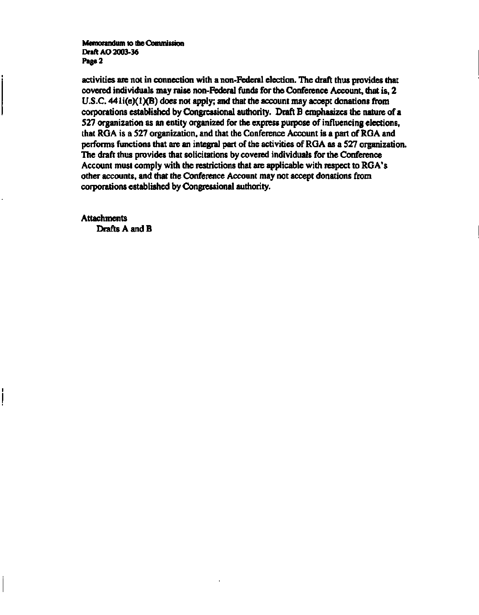**Memorandum to the Commission Draft AO 2003-36 Page 2** 

**activities are not in connection with a non-Federal election. The draft thus provides that covered individuals may raise non-Federal funds for the Conference Account, that is, 2**  U.S.C. 441i(e)(1)(B) does not apply; and that the account may accept donations from **corporations established by Congressional authority. Draft B emphasizes the nature of a 527 organization as an entity organized for the express purpose of influencing elections, that RGA is a 527 organization, and that the Conference Account is a part of RGA and performs functions that are an integral part of the activities of RGA as a 527 organization. The draft thus provides that solicitations by covered individuals for the Conference Account must comply with the restrictions that are applicable with respect to RGA's other accounts, and that the Conference Account may not accept donations from corporations established by Congressional authority.** 

**Attachments Drafts A and B**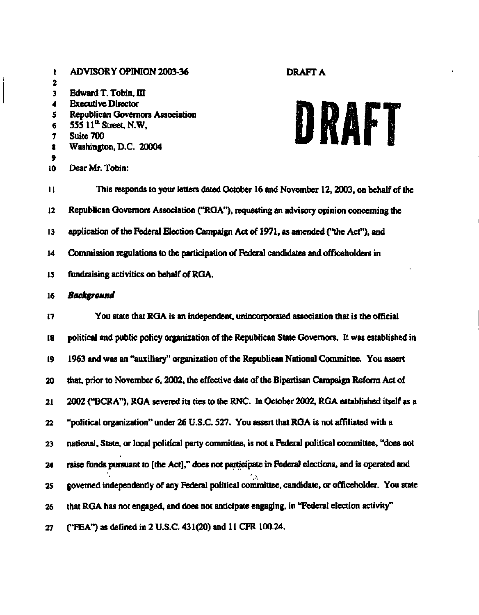# **I ADVISORY OPINION 2003-36 DRAFT A 2 3 Edward T. Tobin, m 4 Executive Director 5 Republican Governors Association 6 555 11\* Street, N.W, 7 Suite 700 8 Washington, D.C. 20004 9 10 Dear Mr. Tobin:**

# DRAFT

**11 This responds to your letters dated October 16 and November 12,2003, on behalf of the 12 Republican Governors Association ("RGA"), requesting an advisory opinion concerning the 13 application of the Federal Election Campaign Act of 1971, as amended ("the Act"), and 14 Commission regulations to the participation of Federal candidates and officeholders in 15 fundraising activities on behalf of RGA. 16** *Background*  **17 You state that RGA is an independent, unincorporated association that is the official 18 political and public policy organization of the Republican State Governors. It was established in 19 1963 and was an "auxiliary" organization of the Republican National Committee. You assert** 

**20 that, prior to November 6,2002, the effective date of the Bipartisan Campaign Reform Act of** 

**21 2002 ("BCRA"), RGA severed its ties to the RNC. In October 2002, RGA established itself as a** 

**22 "political organization" under 26 U.S.C. 527. You assert that RGA is not affiliated with a** 

**23 national, State, or local political party committee, is not a Federal political committee, "does not** 

**24 raise funds pursuant to [the Act]," does not participate in Federal elections, and is operated and** 

 $\mathcal{L}$ **25 governed independently of any Federal political committee, candidate, or officeholder. You state** 

**26 that RGA has not engaged, and does not anticipate engaging, in "Federal election activity"** 

**27 ("FEA") as defined in 2 U.S.C. 431(20) and 11 CFR 100.24.**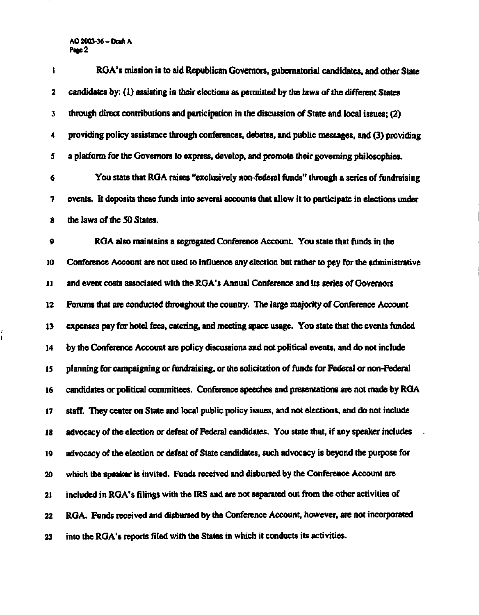# **AO 2003-36-Draft A Page 2**

| t             | RGA's mission is to aid Republican Governors, gubernatorial candidates, and other State               |
|---------------|-------------------------------------------------------------------------------------------------------|
| 2             | candidates by: (1) assisting in their elections as permitted by the laws of the different States      |
| 3             | through direct contributions and participation in the discussion of State and local issues; (2)       |
| 4             | providing policy assistance through conferences, debates, and public messages, and (3) providing      |
| 5             | a platform for the Governors to express, develop, and promote their governing philosophies.           |
| 6             | You state that RGA raises "exclusively non-federal funds" through a series of fundraising             |
| 7             | events. It deposits these funds into several accounts that allow it to participate in elections under |
| 8             | the laws of the 50 States.                                                                            |
| 9             | RGA also maintains a segregated Conference Account. You state that funds in the                       |
| 10            | Conference Account are not used to influence any election but rather to pay for the administrative    |
| $\mathbf{11}$ | and event costs associated with the RGA's Annual Conference and its series of Governors               |
| 12            | Forums that are conducted throughout the country. The large majority of Conference Account            |
| 13            | expenses pay for hotel fees, catering, and meeting space usage. You state that the events funded      |
| 14            | by the Conference Account are policy discussions and not political events, and do not include         |
| 15            | planning for campaigning or fundraising, or the solicitation of funds for Federal or non-Federal      |
| 16            | candidates or political committees. Conference speeches and presentations are not made by RGA         |
| 17            | staff. They center on State and local public policy issues, and not elections, and do not include     |
| 18            | advocacy of the election or defeat of Federal candidates. You state that, if any speaker includes     |
| 19            | advocacy of the election or defeat of State candidates, such advocacy is beyond the purpose for       |
| 20            | which the speaker is invited. Funds received and disbursed by the Conference Account are              |
| 21            | included in RGA's filings with the IRS and are not separated out from the other activities of         |
| 22            | RGA. Funds received and disbursed by the Conference Account, however, are not incorporated            |
| 23            | into the RGA's reports filed with the States in which it conducts its activities.                     |

ł.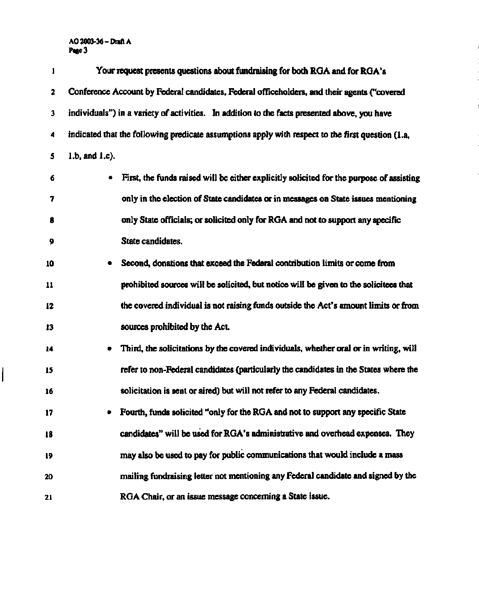# **AO 2003-36 -Draft A Page 3**

 $\overline{\mathsf{I}}$ 

| 1  | Your request presents questions about fundraising for both RGA and for RGA's                      |
|----|---------------------------------------------------------------------------------------------------|
| 2  | Conference Account by Federal candidates, Federal officeholders, and their agents ("covered       |
| 3  | individuals") in a variety of activities. In addition to the facts presented above, you have      |
| 4  | indicated that the following predicate assumptions apply with respect to the first question (1.a, |
| 5  | 1.b, and 1.c).                                                                                    |
| 6  | First, the funds raised will be either explicitly solicited for the purpose of assisting          |
| 7  | only in the election of State candidates or in messages on State issues mentioning                |
| 8  | only State officials; or solicited only for RGA and not to support any specific                   |
| 9  | State candidates.                                                                                 |
| 10 | Second, donations that exceed the Federal contribution limits or come from                        |
| 11 | prohibited sources will be solicited, but notice will be given to the solicitees that             |
| 12 | the covered individual is not raising funds outside the Act's amount limits or from               |
| 13 | sources prohibited by the Act.                                                                    |
| 14 | Third, the solicitations by the covered individuals, whether oral or in writing, will             |
| 15 | refer to non-Federal candidates (particularly the candidates in the States where the              |
| 16 | solicitation is sent or aired) but will not refer to any Federal candidates.                      |
| 17 | Fourth, funds solicited "only for the RGA and not to support any specific State                   |
| 18 | candidates" will be used for RGA's administrative and overhead expenses. They                     |
| 19 | may also be used to pay for public communications that would include a mass                       |
| 20 | mailing fundraising letter not mentioning any Federal candidate and signed by the                 |
| 21 | RGA Chair, or an issue message concerning a State issue.                                          |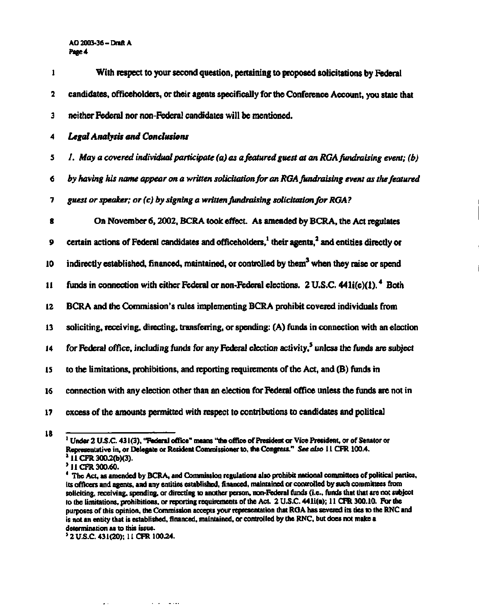# **AO 2003-36 -Draft A Page 4**

| 1  | With respect to your second question, pertaining to proposed solicitations by Federal                                     |
|----|---------------------------------------------------------------------------------------------------------------------------|
| 2  | candidates, officeholders, or their agents specifically for the Conference Account, you state that                        |
| 3  | neither Federal nor non-Federal candidates will be mentioned.                                                             |
| 4  | <b>Legal Analysis and Conclusions</b>                                                                                     |
| 5  | I. May a covered individual participate (a) as a featured guest at an RGA fundraising event; (b)                          |
| 6  | by having his name appear on a written solicitation for an RGA fundraising event as the featured                          |
| 7  | guest or speaker; or (c) by signing a written fundraising solicitation for RGA?                                           |
| 8  | On November 6, 2002, BCRA took effect. As amended by BCRA, the Act regulates                                              |
| 9  | certain actions of Federal candidates and officeholders, <sup>1</sup> their agents, <sup>2</sup> and entities directly or |
| 10 | indirectly established, financed, maintained, or controlled by them <sup>3</sup> when they raise or spend                 |
| 11 | funds in connection with either Federal or non-Federal elections. 2 U.S.C. $441i(e)(1)$ . $480$                           |
| 12 | BCRA and the Commission's rules implementing BCRA prohibit covered individuals from                                       |
| 13 | soliciting, receiving, directing, transferring, or spending: (A) funds in connection with an election                     |
| 14 | for Federal office, including funds for any Federal election activity, <sup>5</sup> unless the funds are subject          |
| 15 | to the limitations, prohibitions, and reporting requirements of the Act, and (B) funds in                                 |
| 16 | connection with any election other than an election for Federal office unless the funds are not in                        |
| 17 | excess of the amounts permitted with respect to contributions to candidates and political                                 |

**18** 

 $\Delta \Delta \sim 10^{11}$  and  $\Delta \sim 10^{11}$ 

 $\mathcal{A}=\mathcal{A}=\mathcal{A}$  , and

**<sup>1</sup> Under 2 U.S.C. 431(3), "Federal office" means "the office of President or Vice President, or of Senator or Representative in, or Delegate or Resident Commissioner to, the Congress."** *See also* **11 CFR 100.4. 2**

**<sup>&</sup>lt;sup>3</sup>** 11 CFR 300.60.

<sup>&</sup>lt;sup>4</sup> The Act, as ame its officers and agents, and any entities established, financed, maintained or controlled by such committees from soliciting, receiving, spending, or directing to another person, non-Federal funds (i.e., funds that that are not subject to the limitations, prohibitions, or reporting requirements of the Act. 2 U.S.C. 441i(e); 11 CFR 300.10. For the purposes of this opinion, the Commission accepts your representation that RGA has severed its ties to the RNC and is not an entity that is established, financed, maintained, or controlled by the RNC, but does not make a determination as to this issue.

**determination as to this issue. 5 2 U.S.C. 431(20); 11 CFR 100.24.**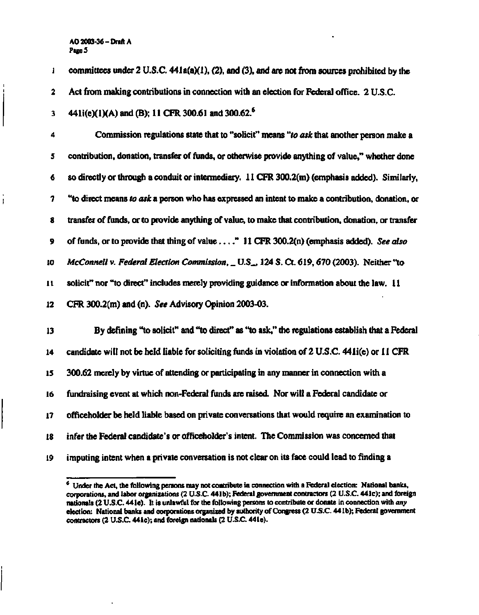## **AO 2003-36 -Draft A PageS**

**i committees under 2 U.S.C. 441a(a)(l), (2), and (3), and are not from sources prohibited by the** 

**2 Act from making contributions in connection with an election for Federal office. 2 U.S.C.** 

**3 441i(e)(l)(A) and (B); 11 CFR 300.61 and 300.62.<sup>6</sup>**

**4 Commission regulations state that to "solicit" means** *"to ask* **that another person make a 5 contribution, donation, transfer of funds, or otherwise provide anything of value," whether done 6 so directly or through a conduit or intermediary. 11 CFR 300.2(m) (emphasis added). Similarly, 7 "to direct means** *to ask* **a person who has expressed an intent to make a contribution, donation, or 8 transfer of funds, or to provide anything of value, to make that contribution, donation, or transfer 9 of funds, or to provide that thing of value " 11 CFR 300.2(n) (emphasis added).** *See also*  **10** *McConnell v. Federal Election Commission, \_ U.S\_,* **124 S. Ct. 619,670 (2003). Neither "to 11 solicit" nor "to direct" includes merely providing guidance or information about the law. 11 12 CFR 300.2(m) and (n).** *See* **Advisory Opinion 2003-03.** 

**13 By defining "to solicit" and "to direct" as "to ask," the regulations establish that a Federal 14 candidate will not be held liable for soliciting funds in violation of 2 U.S.C. 441i(e) or 11 CFR 15 300.62 merely by virtue of attending or participating in any manner in connection with a 16 fundraising event at which non-Federal funds are raised. Nor will a Federal candidate or 17 officeholder be held liable based on private conversations that would require an examination to 18 infer the Federal candidate's or officeholder's intent. The Commission was concerned that 19 imputing intent when a private conversation is not clear on its face could lead to finding a** 

**<sup>\*</sup> Under the Act, the following persons may not contribute in connection with a Federal election: National banks, corporations, and labor organizations (2 U.S.C 441b); Federal government contractors (2 U.S.C. 441c); and foreign nationals (2 U.S.C. 441e). It is unlawful for the following persons to contribute or donate in connection with** *any*  **election: National banks and corporations organized by authority of Congress (2 U.S.C. 441b); Federal government contractors (2 U.S.C. 441c); and foreign nationals (2 U.S.C. 44 le).**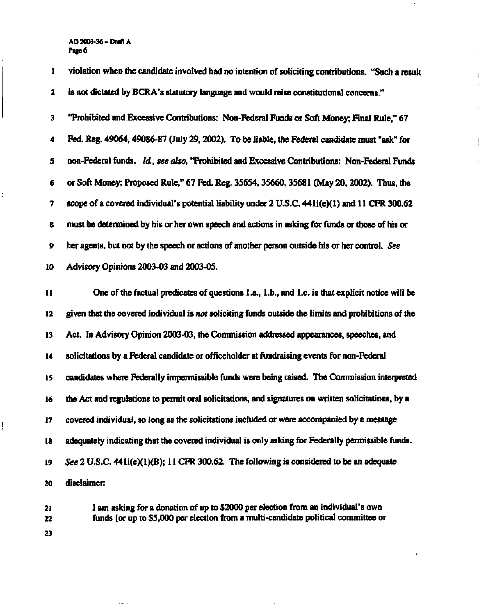**AO 2003-36-Draft A Page 6** 

ļ

**1 violation when the candidate involved had no intention of soliciting contributions. "Such a result 2 is not dictated by BCRA's statutory language and would raise constitutional concerns." 3 "Prohibited and Excessive Contributions: Non-Federal Funds or Soft Money; Final Rule," 67 4 Fed. Reg. 49064,49086-87 (July 29,2002). To be liable, the Federal candidate must "ask" for 5 non-Federal funds.** *Id., see also,* **"Prohibited and Excessive Contributions: Non-Federal Funds 6 or Soft Money; Proposed Rule," 67 Fed. Reg. 3S6S4,35660,3S681 (May 20,2002). Thus, the 7 scope of a covered individual's potential liability under 2 U.S.C. 441i(e)(l) and 11 CFR 300.62 8 must be determined by his or her own speech and actions in asking for funds or those of his or 9 her agents, but not by the speech or actions of another person outside his or her control.** *See*  **10 Advisory Opinions 2003-03 and 2003-05. 11 One of the factual predicates of questions La., Lb., and Le. is that explicit notice will be 12 given that the covered individual is** *not* **soliciting funds outside the limits and prohibitions of the 13 Act. In Advisory Opinion 2003-03, the Commission addressed appearances, speeches, and 14 solicitations by a Federal candidate or officeholder at fundraising events for non-Federal 15 candidates where Federally impermissible funds were being raised. The Commission interpreted 16 the Act and regulations to permit oral solicitations, and signatures on written solicitations, by a 17 covered individual, so long as the solicitations included or were accompanied by a message 18 adequately indicating that the covered individual is only asking for Federally permissible funds.** 

**19** *See* **2 U.S.C. 44li(e)(1)(B); 11 CFR 300.62. The following is considered to be an adequate 20 disclaimer:** 

**21 I am asking for a donation of up to \$2000 per election from an individual's own 22 funds [or up to \$5,000 per election from a multi-candidate political committee or 23**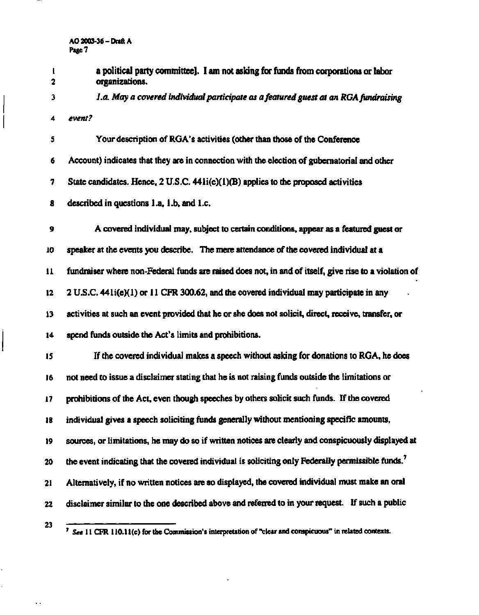**1 a political party committee]. I am not asking for funds from corporations or labor 2 organizations.** 

**3** *I.a. May a covered individual participate as a featured guest at an RGA fundraising* 

**4** *event?* 

**5 Your description of RGA's activities (other than those of the Conference 6 Account) indicates that they are in connection with the election of gubernatorial and other 7 State candidates. Hence, 2 U.S.C. 441i(e)(l)(B) applies to the proposed activities** 

**8 described in questions l.a, l.b, and I.e.** 

**9 A covered individual may, subject to certain conditions, appear as a featured guest or 10 speaker at the events you describe. The mere attendance of the covered individual at a 11 fundraiser where non-Federal funds are raised does not, in and of itself, give rise to a violation of 12 2 U.S.C. 441i(e)(l) or 11 CFR 300.62, and the covered individual may participate in any 13 activities at such an event provided that he or she does not solicit, direct, receive, transfer, or 14 spend funds outside the Act's limits and prohibitions.** 

**15 If the covered individual makes a speech without asking for donations to RGA, he does 16 not need to issue a disclaimer stating that he is not raising funds outside the limitations or 17 prohibitions of the Act, even though speeches by others solicit such funds. If the covered 18 individual gives a speech soliciting funds generally without mentioning specific amounts, 19 sources, or limitations, he may do so if written notices are clearly and conspicuously displayed at 20 the event indicating that the covered individual is soliciting only Federally permissible funds.<sup>7</sup> 21 Alternatively, if no written notices are so displayed, the covered individual must make an oral 22 disclaimer similar to the one described above and referred to in your request. If such a public** 

**23** 

**7**

 *See 11* **CFR 110.11(c) for the Commission's interpretation of "clear and conspicuous" in related contexts.**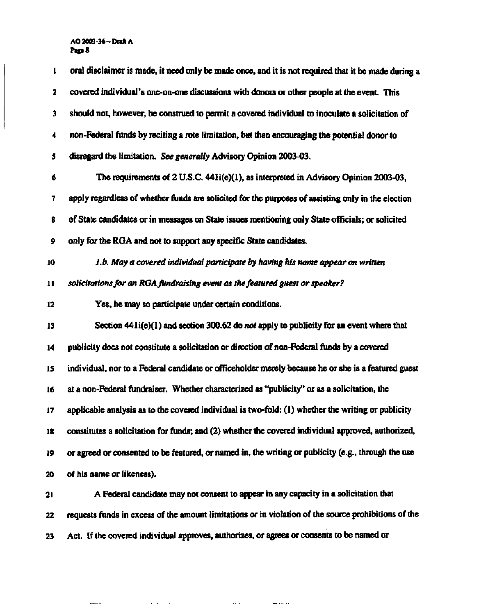# **AO 2003-36-Draft A Page 8**

| $\mathbf{1}$  | oral disclaimer is made, it need only be made once, and it is not required that it be made during a      |
|---------------|----------------------------------------------------------------------------------------------------------|
| 2             | covered individual's one-on-one discussions with donors or other people at the event. This               |
| 3             | should not, however, be construed to permit a covered individual to inoculate a solicitation of          |
| 4             | non-Federal funds by reciting a rote limitation, but then encouraging the potential donor to             |
| 5             | disregard the limitation. See generally Advisory Opinion 2003-03.                                        |
| 6             | The requirements of 2 U.S.C. 441i(e)(1), as interpreted in Advisory Opinion 2003-03,                     |
| 7             | apply regardless of whether funds are solicited for the purposes of assisting only in the election       |
| 8             | of State candidates or in messages on State issues mentioning only State officials; or solicited         |
| 9             | only for the RGA and not to support any specific State candidates.                                       |
| 10            | 1.b. May a covered individual participate by having his name appear on written                           |
| $\mathbf{11}$ | solicitations for an RGA fundraising event as the featured guest or speaker?                             |
| 12            | Yes, he may so participate under certain conditions.                                                     |
| 13            | Section $44 \text{li}(e)(1)$ and section 300.62 do <i>not</i> apply to publicity for an event where that |
| 14            | publicity does not constitute a solicitation or direction of non-Federal funds by a covered              |
| 15            | individual, nor to a Federal candidate or officeholder merely because he or she is a featured guest      |
| 16            | at a non-Federal fundraiser. Whether characterized as "publicity" or as a solicitation, the              |
| 17            | applicable analysis as to the covered individual is two-fold: (1) whether the writing or publicity       |
| 18            | constitutes a solicitation for funds; and (2) whether the covered individual approved, authorized,       |
| 19            | or agreed or consented to be featured, or named in, the writing or publicity (e.g., through the use      |
| 20            | of his name or likeness).                                                                                |
| 21            | A Federal candidate may not consent to appear in any capacity in a solicitation that                     |
| 22            | requests funds in excess of the amount limitations or in violation of the source prohibitions of the     |
| 23            | Act. If the covered individual approves, authorizes, or agrees or consents to be named or                |

المتوسط المستخدم التي توسع المناطق المناطق المناطق المناطق المناطق المناطق المناطق المناطق المناطق المناطق المناطق

 $\frac{1}{2}$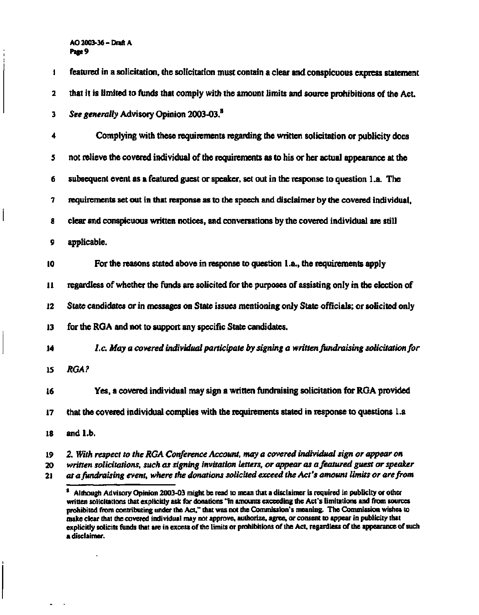**AO 2003-36 -Draft A Page 9** 

**1 featured in a solicitation, the solicitation must contain a clear and conspicuous express statement 2 that it is limited to funds that comply with the amount limits and source prohibitions of the Act. 3** *See generally* **Advisory Opinion 2003-03.<sup>8</sup> 4 Complying with these requirements regarding the written solicitation or publicity does 5 not relieve the covered individual of the requirements as to his or her actual appearance at the 6 subsequent event as a featured guest or speaker, set out in the response to question l.a. The 7 requirements set out in that response as to the speech and disclaimer by the covered individual, 8 clear and conspicuous written notices, and conversations by the covered individual are still 9 applicable. 10 For the reasons stated above in response to question 1 .a., the requirements apply 11 regardless of whether the funds are solicited for the purposes of assisting only in the election of 12 State candidates or in messages on State issues mentioning only State officials; or solicited only 13 for the RGA and not to support any specific State candidates. 14** *I.e. May a covered individual participate by signing a written fundraising solicitation for*  **15** *RGA?*  **16 Yes, a covered individual may sign a written fundraising solicitation for RGA provided 17 that the covered individual complies with the requirements stated in response to questions l.a 18 and l.b.** 

**19 2.** *With respect to the RGA Conference Account, may a covered individual sign or appear on*  **20** *written solicitations, such as signing invitation letters, or appear as a featured guest or speaker*  **21** *at a fundraising event, where the donations solicited exceed the Act's amount limits or are from* 

**<sup>8</sup> Although Advisory Opinion 2003-03 might be read to mean that a disclaimer is required in publicity or other written solicitations that explicitly ask for donations "in amounts exceeding the Act's limitations and from sources prohibited from contributing under the Act," that was not the Commission's meaning. The Commission wishes to make clear that the covered individual may not approve, authorize, agree, or consent to appear in publicity that explicitly solicits funds that are in excess of the limits or prohibitions of the Act, regardless of the appearance of such a disclaimer.**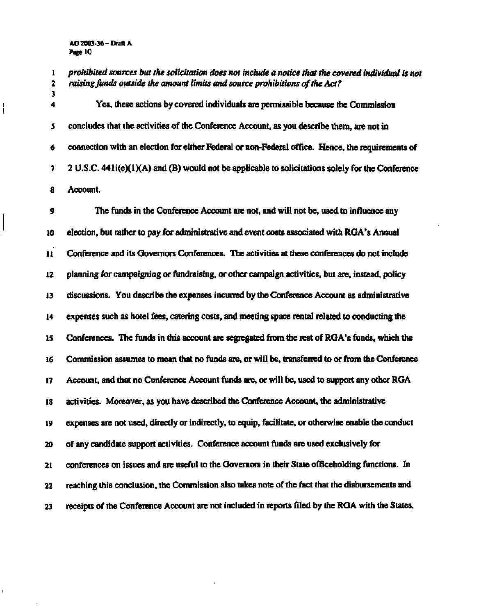# **AO 2003-36-Draft A Page 10**

**3** 

ł

**1** *prohibited sources but the solicitation does not include a notice that the covered individual is not 2 raising funds outside the amount limits and source prohibitions of the Act?* 

**4 Yes, these actions by covered individuals are permissible because the Commission 5 concludes that the activities of the Conference Account, as you describe them, are not in 6 connection with an election for either Federal or non-Federal office. Hence, the requirements of 7 2 U.S.C. 441i(e)(l)(A) and (B) would not be applicable to solicitations solely for the Conference 8 Account.** 

**9 The funds in the Conference Account are not, and will not be, used to influence any 10 election, but rather to pay for administrative and event costs associated with RGA's Annual 11 Conference and its Governors Conferences. The activities at these conferences do not include 12 planning for campaigning or fundraising, or other campaign activities, but are, instead, policy 13 discussions. You describe the expenses incurred by the Conference Account as administrative 14 expenses such as hotel fees, catering costs, and meeting space rental related to conducting the 15 Conferences. The funds in this account are segregated from the rest of RGA's funds, which the 16 Commission assumes to mean that no funds are, or will be, transferred to or from the Conference 17 Account, and that no Conference Account funds are, or will be, used to support any other RGA 18 activities. Moreover, as you have described the Conference Account, the administrative 19 expenses are not used, directly or indirectly, to equip, facilitate, or otherwise enable the conduct 20 of any candidate support activities. Conference account funds are used exclusively for 21 conferences on issues and are useful to the Governors in their State officeholding functions. In 22 reaching this conclusion, the Commission also takes note of the fact that the disbursements and 23 receipts of the Conference Account are not included in reports filed by the RGA with the States,**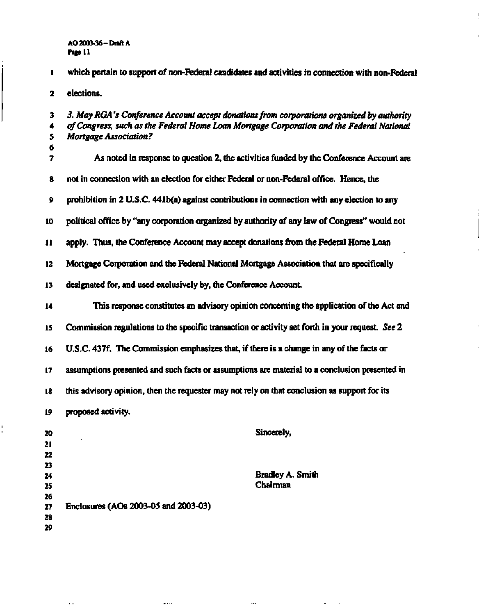**AO 2003-36 -Draft A Page 11** 

**1 which pertain to support of non-Federal candidates and activities in connection with non-Federal 2 elections. 3** *3. May RGA's Conference Account accept donations from corporations organized by authority*  **4** *of Congress, such as the Federal Home Loan Mortgage Corporation and the Federal National*  **5** *Mortgage Association ?*  **6 7 As noted in response to question 2, the activities funded by the Conference Account are 8 not in connection with an election for either Federal or non-Federal office. Hence, the 9 prohibition in 2 U.S.C. 441b(a) against contributions in connection with any election to any 10 political office by "any corporation organized by authority of any law of Congress" would not 11 apply. Thus, the Conference Account may accept donations from the Federal Home Loan 12 Mortgage Corporation and the Federal National Mortgage Association that are specifically 13 designated for, and used exclusively by, the Conference Account. 14 This response constitutes an advisory opinion concerning the application of the Act and 15 Commission regulations to the specific transaction or activity set forth in your request.** *See* **2 16 U.S.C. 437f. The Commission emphasizes that, if there is a change in any of the facts or 17 assumptions presented and such facts or assumptions are material to a conclusion presented in 18 this advisory opinion, then the requester may not rely on that conclusion as support for its 19 proposed activity. 20 Sincerely, 21 22 23 24 25 26 27 Enclosures (AOs 2003-05 and 2003-03) 28 29 Bradley A. Smith Chairman** 

44

 $\sim$  .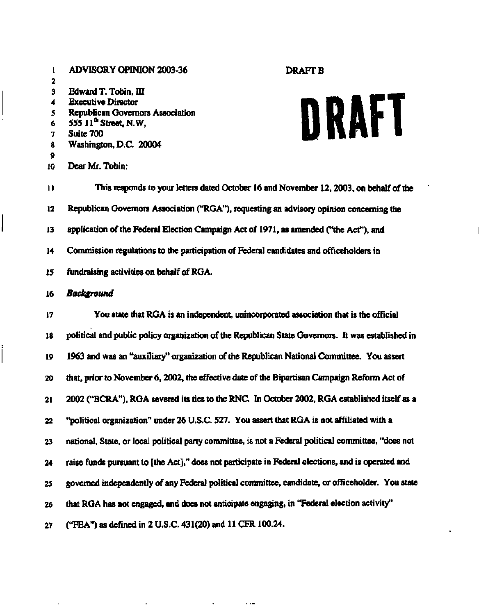# **1 ADVISORY OPINION 2003-36 DRAFT B 2 3 Edward T. Tobin, III 4 Executive Director 5 Republican Governors Association 6 555 11th Street, N.W, 7 Suite 700 8 Washington, D.C. 20004 9 10 Dear Mr. Tobin:**

# **DRAFT**

**11 This responds to your letters dated October 16 and November 12,2003, on behalf of the 12 Republican Governors Association ("RGA"), requesting an advisory opinion concerning the 13 application of the Federal Election Campaign Act of 1971, as amended ("the Act"), and 14 Commission regulations to the participation of Federal candidates and officeholders in 15 fundraising activities on behalf of RGA.** 

# **16** *Background*

**17 You state that RGA is an independent, unincorporated association that is the official 18 political and public policy organization of the Republican State Governors. It was established in 19 1963 and was an "auxiliary" organization of the Republican National Committee. You assert 20 that, prior to November 6,2002, the effective date of the Bipartisan Campaign Reform Act of 21 2002 ("BCRA"), RGA severed its ties to the RNC. In October 2002, RGA established itself as a 22 "political organization" under 26 U.S.C. 527. You assert that RGA is not affiliated with a 23 national, State, or local political party committee, is not a Federal political committee, "does not 24 raise funds pursuant to [the Act]," does not participate in Federal elections, and is operated and 25 governed independently of any Federal political committee, candidate, or officeholder. You state 26 that RGA has not engaged, and does not anticipate engaging, in "Federal election activity" 27 ("FEA") as defined in 2 U.S.C. 431(20) and 11 CFR 100.24.**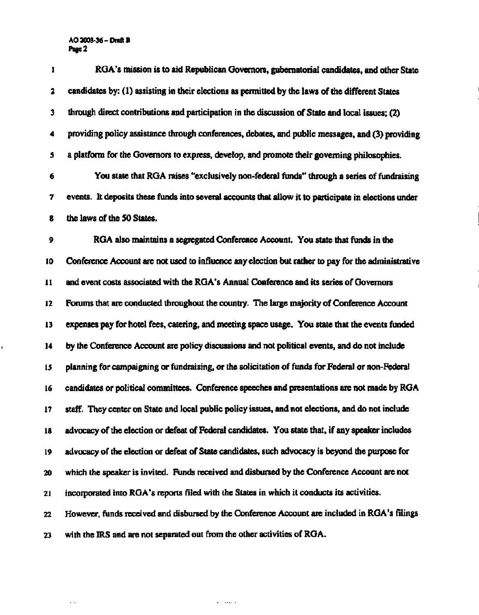# **AO 2003-36-Draft B Page 2**

 $\mathbf{I}$ 

 $\sim$   $\sim$ 

| 1             | RGA's mission is to aid Republican Governors, gubernatorial candidates, and other State               |
|---------------|-------------------------------------------------------------------------------------------------------|
| 2             | candidates by: (1) assisting in their elections as permitted by the laws of the different States      |
| 3             | through direct contributions and participation in the discussion of State and local issues; (2)       |
| 4             | providing policy assistance through conferences, debates, and public messages, and (3) providing      |
| 5             | a platform for the Governors to express, develop, and promote their governing philosophies.           |
| 6             | You state that RGA raises "exclusively non-federal funds" through a series of fundraising             |
| 7             | events. It deposits these funds into several accounts that allow it to participate in elections under |
| 8             | the laws of the 50 States.                                                                            |
| 9             | RGA also maintains a segregated Conference Account. You state that funds in the                       |
| 10            | Conference Account are not used to influence any election but rather to pay for the administrative    |
| $\mathbf{11}$ | and event costs associated with the RGA's Annual Conference and its series of Governors               |
| 12            | Forums that are conducted throughout the country. The large majority of Conference Account            |
| $\mathbf{13}$ | expenses pay for hotel fees, catering, and meeting space usage. You state that the events funded      |
| 14            | by the Conference Account are policy discussions and not political events, and do not include         |
| 15            | planning for campaigning or fundraising, or the solicitation of funds for Federal or non-Federal      |
| 16            | candidates or political committees. Conference speeches and presentations are not made by RGA         |
| 17            | staff. They center on State and local public policy issues, and not elections, and do not include     |
| 18            | advocacy of the election or defeat of Federal candidates. You state that, if any speaker includes     |
| 19            | advocacy of the election or defeat of State candidates, such advocacy is beyond the purpose for       |
| 20            | which the speaker is invited. Funds received and disbursed by the Conference Account are not          |
| 21            | incorporated into RGA's reports filed with the States in which it conducts its activities.            |
| 22            | However, funds received and disbursed by the Conference Account are included in RGA's filings         |
| 23            | with the IRS and are not separated out from the other activities of RGA.                              |

 $\mathcal{A}=\mathcal{A}\mathcal{A}$  .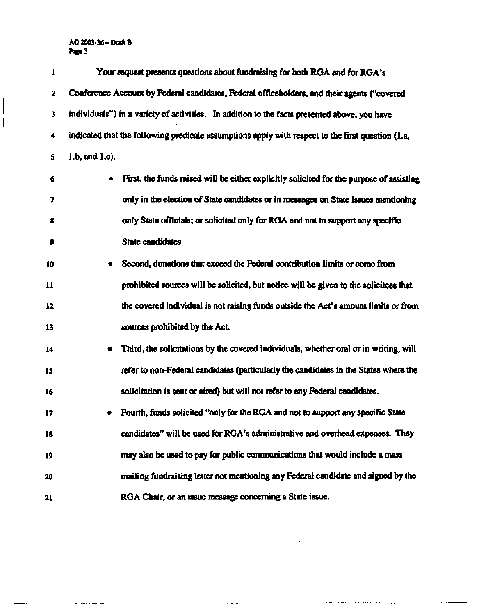# **AO 2003-36-Draft B P«ge3**

 $\overline{\phantom{a}}$ 

 $\overline{\phantom{a}}$ 

mir r

 $\ddot{\phantom{a}}$ 

 $\mathbf{u}$  constraint and

| 1  | Your request presents questions about fundraising for both RGA and for RGA's                      |
|----|---------------------------------------------------------------------------------------------------|
| 2  | Conference Account by Federal candidates, Federal officeholders, and their agents ("covered       |
| 3  | individuals") in a variety of activities. In addition to the facts presented above, you have      |
| 4  | indicated that the following predicate assumptions apply with respect to the first question (1.a, |
| 5  | $1.b$ , and $1.c$ ).                                                                              |
| 6  | First, the funds raised will be either explicitly solicited for the purpose of assisting          |
| 7  | only in the election of State candidates or in messages on State issues mentioning                |
| 8  | only State officials; or solicited only for RGA and not to support any specific                   |
| 9  | State candidates.                                                                                 |
| 10 | Second, donations that exceed the Federal contribution limits or come from                        |
| 11 | prohibited sources will be solicited, but notice will be given to the solicitees that             |
| 12 | the covered individual is not raising funds outside the Act's amount limits or from               |
| 13 | sources prohibited by the Act.                                                                    |
| 14 | Third, the solicitations by the covered individuals, whether oral or in writing, will             |
| 15 | refer to non-Federal candidates (particularly the candidates in the States where the              |
| 16 | solicitation is sent or aired) but will not refer to any Federal candidates.                      |
| 17 | Fourth, funds solicited "only for the RGA and not to support any specific State                   |
| 18 | candidates" will be used for RGA's administrative and overhead expenses. They                     |
| 19 | may also be used to pay for public communications that would include a mass                       |
| 20 | mailing fundraising letter not mentioning any Federal candidate and signed by the                 |
| 21 | RGA Chair, or an issue message concerning a State issue.                                          |

 $\sim$  4.00

 $\sim$ 

The common continues and the

 $\sim$   $\sim$ 

 $\overline{\phantom{0}}$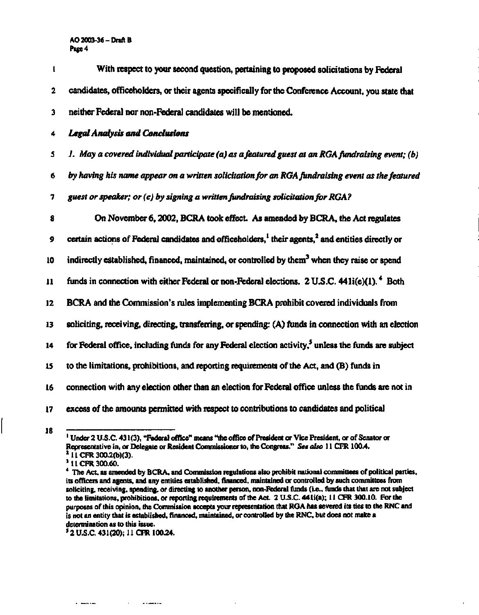# **AO 2003-36- Draft B Page 4**

| t  | With respect to your second question, pertaining to proposed solicitations by Federal                                     |
|----|---------------------------------------------------------------------------------------------------------------------------|
| 2  | candidates, officeholders, or their agents specifically for the Conference Account, you state that                        |
| 3  | neither Federal nor non-Federal candidates will be mentioned.                                                             |
| 4  | <b>Legal Analysis and Conclusions</b>                                                                                     |
| 5  | 1. May a covered individual participate (a) as a featured guest at an RGA fundraising event; (b)                          |
| 6  | by having his name appear on a written solicitation for an RGA fundraising event as the featured                          |
| 7  | guest or speaker; or (c) by signing a written fundraising solicitation for RGA?                                           |
| 8  | On November 6, 2002, BCRA took effect. As amended by BCRA, the Act regulates                                              |
| 9  | certain actions of Federal candidates and officeholders, <sup>1</sup> their agents, <sup>2</sup> and entities directly or |
| 10 | indirectly established, financed, maintained, or controlled by them <sup>3</sup> when they raise or spend                 |
| 11 | funds in connection with either Federal or non-Federal elections. 2 U.S.C. $441i(e)(1)$ . $480i$                          |
| 12 | BCRA and the Commission's rules implementing BCRA prohibit covered individuals from                                       |
| 13 | soliciting, receiving, directing, transferring, or spending: (A) funds in connection with an election                     |
| 14 | for Federal office, including funds for any Federal election activity, <sup>5</sup> unless the funds are subject          |
| 15 | to the limitations, prohibitions, and reporting requirements of the Act, and (B) funds in                                 |
| 16 | connection with any election other than an election for Federal office unless the funds are not in                        |
| 17 | excess of the amounts permitted with respect to contributions to candidates and political                                 |

**<sup>1</sup> Under 2 U.S.C. 431(3), "Federal office" means "the office of President or Vice President, or of Senator or Representative in, or Delegate or Resident Commissioner to, the Congress."** *See also* **11 CFR 100.4. 2 11 CFR 300.2(b)(3).** 

**3 11 CFR 300.60.** 

a massacri

**18** 

ستستبد الدا

**<sup>4</sup> The Act, as amended by BCRA, and Commission regulations also prohibit national committees of political parties, its officers and agents, and any entities established, financed, maintained or controlled by such committees from soliciting, receiving, spending, or directing to another person, non-Federal funds (i.e., funds that that are not subject to the limitations, prohibitions, or reporting requirements of the Act. 2 U.S.C. 441i(a); 11 CFR 300.10. For the purposes of this opinion, the Commission accepts your representation that RGA has severed its ties to the RNC and is not an entity that is established, financed, maintained, or controlled by die RNC, but does not make a determination as to this issue.** 

**<sup>5</sup> 2 U.S.C. 431(20); 11 CFR 100.24.**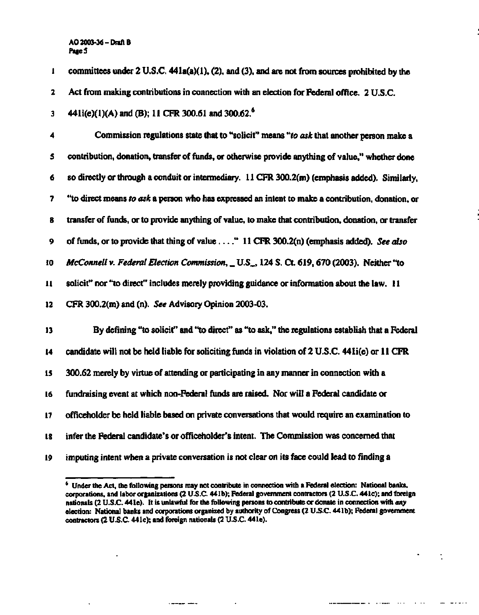# **AO 2003-36- Draft B Page 5**

**1 committees under 2 U.S.C. 441a(a)(l), (2), and (3), and are not from sources prohibited by the 2 Act from making contributions in connection with an election for Federal office. 2 U.S.C. 3 4411(e)(1)(A) and (B); 11 CFR 300.61 and 300.62.<sup>6</sup> 4 Commission regulations state that to "solicit" means** *"to ask* **that another person make a 5 contribution, donation, transfer of funds, or otherwise provide anything of value," whether done 6 so directly or through a conduit or intermediary. 11 CFR 300.2(m) (emphasis added). Similarly, 7 "to direct means** *to ask* **a person who has expressed an intent to make a contribution, donation, or 8 transfer of funds, or to provide anything of value, to make that contribution, donation, or transfer**  9 of funds, or to provide that thing of value . . . " 11 CFR 300.2(n) (emphasis added). *See also* **10** *McConnell* **v.** *Federal Election Commission,* **\_ U.S\_, 124 S. Ct. 619,670 (2003). Neither "to 11 solicit" nor "to direct" includes merely providing guidance or information about the law. 11 12 CFR 300.2(m) and (n).** *See* **Advisory Opinion 2003-03. 13 By defining "to solicit" and "to direct" as "to ask," the regulations establish that a Federal 14 candidate will not be held liable for soliciting funds in violation of 2 U.S.C. 441i(e) or 11 CFR is 300.62 merely by virtue of attending or participating in any manner in connection with a 16 fundraising event at which non-Federal funds are raised. Nor will a Federal candidate or 17 officeholder be held liable based on private conversations that would require an examination to 18 infer the Federal candidate's or officeholder's intent. The Commission was concerned that 19 imputing intent when a private conversation is not clear on its face could lead to finding a** 

 $\sim 100$ 

 $\sim$  . . .

 $\mathbf{m}$  and  $\mathbf{m}$ 

**<sup>6</sup> Under the Act, the following persons may not contribute in connection with a Federal election: National banks, corporations, and labor organizations (2 U.S.C. 441b); Federal government contractors (2 U.S.C. 441c); and foreign nationals (2 U.S.C. 44 le). It is unlawful for the following persons to contribute or donate in connection with** *any*  **election: National banks and corporations organized by authority of Congress (2 U.S.C. 441b); Federal government contractors (2 U.S.C. 441c); and foreign nationals (2 U.S.C 44le).**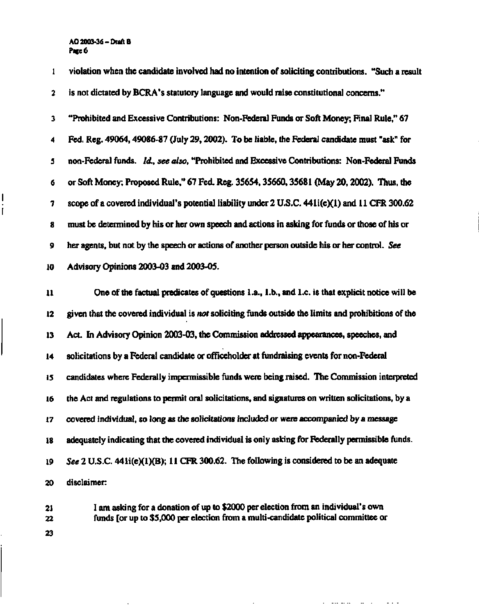**AO 2003-36-Draft B Page 6** 

**1 violation when the candidate involved had no intention of soliciting contributions. "Such a result 2 is not dictated by BCRA's statutory language and would raise constitutional concerns." 3 "Prohibited and Excessive Contributions: Non-Federal Funds or Soft Money; Final Rule," 67 4 Fed. Reg. 49064,49086-87 (July 29,2002). To be liable, the Federal candidate must "ask" for 5 non-Federal funds.** *Id., see also,* **"Prohibited and Excessive Contributions: Non-Federal Funds 6 or Soft Money; Proposed Rule," 67 Fed. Reg. 35654,35660,35681 (May 20,2002). Thus, the 7 scope of a covered individual's potential liability under 2 U.S.C. 44li(e)(1) and 11 CFR 300.62 8 must be determined by his or her own speech and actions in asking for funds or those of his or 9 her agents, but not by the speech or actions of another person outside his or her control.** *See*  **10 Advisory Opinions 2003-03 and 2003-05. 11 One of the factual predicates of questions 1 .a., 1 .b., and Le. is that explicit notice will be 12 given that the covered individual is** *not* **soliciting funds outside the limits and prohibitions of the 13 Act. In Advisory Opinion 2003-03, the Commission addressed appearances, speeches, and 14 solicitations by a Federal candidate or officeholder at fundraising events for non-Federal 15 candidates where Federally impermissible funds were being raised. The Commission interpreted 16 the Act and regulations to permit oral solicitations, and signatures on written solicitations, by a 17 covered individual,** *so* **long as the solicitations included or were accompanied by a message 18 adequately indicating that the covered individual is only asking for Federally permissible funds. 19** *See* **2 U.S.C. 44li(e)(l)(B); 11 CFR 300.62. The following is considered to be an adequate 20 disclaimer: 21 I am asking for a donation of up to \$2000 per election from an individual's own** 

**22 funds [or up to \$5,000 per election from a multi-candidate political committee or 23** 

الداريف المتعاقبين والمتارين

 $\alpha$  ,  $\beta$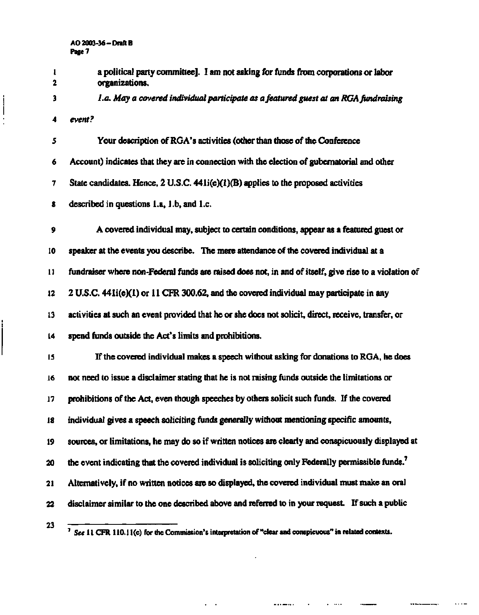**1 a political party committee]. I am not asking for funds from corporations or labor 2 organizations. 3** *La. May a covered individual participate as a featured guest at an RGA fundraising*  **4** *event?*  **5 Your description of RGA' s acti vities (other than those of the Conference 6 Account) indicates that they are in connection with the election of gubernatorial and other 7** State candidates. Hence, 2 U.S.C. 441i(e)(1)(B) applies to the proposed activities **8 described in questions l.a, l.b, and I.e. 9 A covered individual may, subject to certain conditions, appear as a featured guest or 10 speaker at the events you describe. The mere attendance of the covered individual at a l ] fundraiser where non-Federal funds are raised does not, in and of itself, give rise to a violation of 12 2 U.S.C. 441i(e)(l) or 11 CFR 300.62. and the covered individual may participate in any 13 activities at such an event provided that he or she does not solicit, direct, receive, transfer, or 14 spend funds outside the Act's limits and prohibitions. is If the covered individual makes a speech without asking for donations to RGA, he does 16 not need to issue a disclaimer stating that he is not raising funds outside the limitations or 17 prohibitions of the Act, even though speeches by others solicit such funds. If the covered 18 individual gives a speech soliciting funds generally without mentioning specific amounts, 19 sources, or limitations, he may do so if written notices are clearly and conspicuously displayed at 20 the event indicating that the covered individual is soliciting only Federally permissible funds.<sup>7</sup> 21 Alternatively, if no written notices are so displayed, the covered individual must make an oral 22 disclaimer similar to the one described above and referred to in your request If such a public 23** 

 $\mathbf{r}$  and  $\mathbf{r}$ 

**7 See 11 CFR 110.11(c) for the Commission's interpretation of "clear and conspicuous" in related contexts.**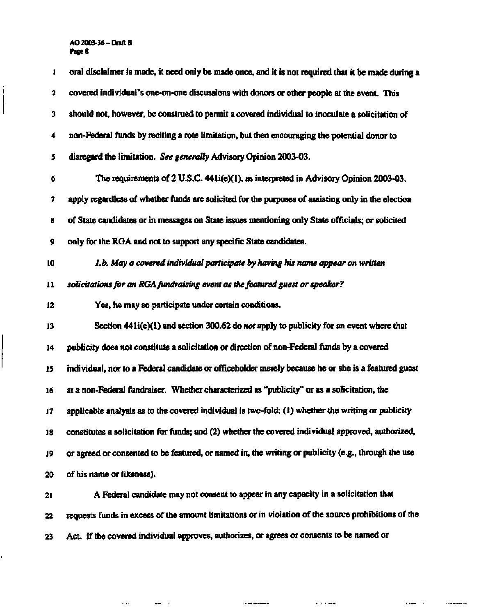# **AO 2003-36-Draft B Page 8**

 $\begin{array}{c} \begin{array}{c} \begin{array}{c} \begin{array}{c} \end{array}\\ \end{array} \end{array} \end{array}$ 

ı,

| 1                       | oral disclaimer is made, it need only be made once, and it is not required that it be made during a  |
|-------------------------|------------------------------------------------------------------------------------------------------|
| $\overline{\mathbf{c}}$ | covered individual's one-on-one discussions with donors or other people at the event. This           |
| 3                       | should not, however, be construed to permit a covered individual to inoculate a solicitation of      |
| 4                       | non-Federal funds by reciting a rote limitation, but then encouraging the potential donor to         |
| 5                       | disregard the limitation. See generally Advisory Opinion 2003-03.                                    |
| 6                       | The requirements of 2 U.S.C. 441i(e)(1), as interpreted in Advisory Opinion 2003-03,                 |
| 7                       | apply regardless of whether funds are solicited for the purposes of assisting only in the election   |
| 8                       | of State candidates or in messages on State issues mentioning only State officials; or solicited     |
| 9                       | only for the RGA and not to support any specific State candidates.                                   |
| 10                      | I.b. May a covered individual participate by having his name appear on written                       |
| 11                      | solicitations for an RGA fundraising event as the featured guest or speaker?                         |
| 12                      | Yes, he may so participate under certain conditions.                                                 |
| 13                      | Section $441i(e)(1)$ and section 300.62 do not apply to publicity for an event where that            |
| 14                      | publicity does not constitute a solicitation or direction of non-Federal funds by a covered          |
| 15                      | individual, nor to a Federal candidate or officeholder merely because he or she is a featured guest  |
| 16                      | at a non-Federal fundraiser. Whether characterized as "publicity" or as a solicitation, the          |
| 17                      | applicable analysis as to the covered individual is two-fold: (1) whether the writing or publicity   |
| 18                      | constitutes a solicitation for funds; and (2) whether the covered individual approved, authorized,   |
| 19                      | or agreed or consented to be featured, or named in, the writing or publicity (e.g., through the use  |
| 20                      | of his name or likeness).                                                                            |
| 21                      | A Federal candidate may not consent to appear in any capacity in a solicitation that                 |
| 22                      | requests funds in excess of the amount limitations or in violation of the source prohibitions of the |

**23 Act. If the covered individual approves, authorizes, or agrees or consents to be named or** 

 $\mathbf{r}$  and  $\mathbf{r}$  are  $\mathbf{r}$  and  $\mathbf{r}$ 

 $\frac{1}{2}$  . The construction of  $\frac{1}{2}$  ,  $\frac{1}{2}$  ,  $\frac{1}{2}$  ,  $\frac{1}{2}$  ,  $\frac{1}{2}$  ,  $\frac{1}{2}$  ,  $\frac{1}{2}$  ,  $\frac{1}{2}$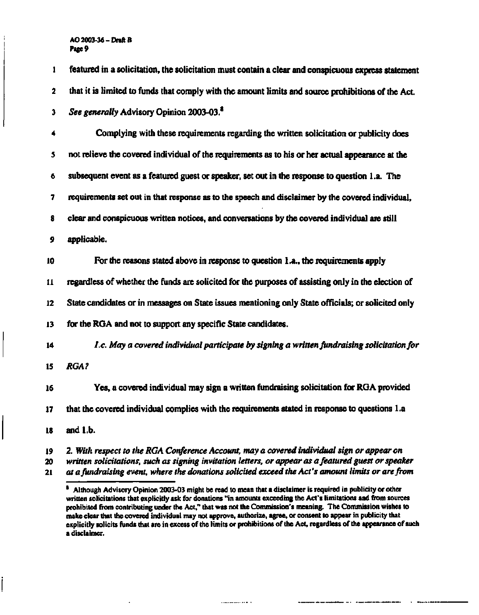# **AO 2003-36- Draft B Page 9**

| $\mathbf{1}$  | featured in a solicitation, the solicitation must contain a clear and conspicuous express statement |
|---------------|-----------------------------------------------------------------------------------------------------|
| 2             | that it is limited to funds that comply with the amount limits and source prohibitions of the Act.  |
| 3             | See generally Advisory Opinion 2003-03. <sup>8</sup>                                                |
| 4             | Complying with these requirements regarding the written solicitation or publicity does              |
| 5             | not relieve the covered individual of the requirements as to his or her actual appearance at the    |
| 6             | subsequent event as a featured guest or speaker, set out in the response to question 1.a. The       |
| 7             | requirements set out in that response as to the speech and disclaimer by the covered individual,    |
| 8             | clear and conspicuous written notices, and conversations by the covered individual are still        |
| 9             | applicable.                                                                                         |
| 10            | For the reasons stated above in response to question 1.a., the requirements apply                   |
| $\mathbf{11}$ | regardless of whether the funds are solicited for the purposes of assisting only in the election of |
| $12 \,$       | State candidates or in messages on State issues mentioning only State officials; or solicited only  |
| 13            | for the RGA and not to support any specific State candidates.                                       |
| 14            | 1.c. May a covered individual participate by signing a written fundraising solicitation for         |
| 15            | <b>RGA?</b>                                                                                         |
| 16            | Yes, a covered individual may sign a written fundraising solicitation for RGA provided              |
| 17            | that the covered individual complies with the requirements stated in response to questions 1.a      |
| 18            | and 1.b.                                                                                            |
| 19            | 2. With respect to the RGA Conference Account, may a covered individual sign or appear on           |

**<sup>20</sup>** *written solicitations, such as signing invitation letters, or appear as a featured guest or speaker*  **21** *at a fundraising event, where the donations solicited exceed the Act's amount limits or are from* 

**<sup>8</sup> Although Advisory Opinion 2003-03 might be read to mean that a disclaimer is required in publicity or other written solicitations that explicitly ask for donations "in amounts exceeding the Act's limitations and from sources prohibited from contributing under the Act," that was not the Commission's meaning. The Commission wishes to make clear that the covered individual may not approve, authorize, agree, or consent to appear in publicity that explicitly solicits funds that are in excess of the limits or prohibitions of the Act, regardless of the appearance of such a disclaimer.**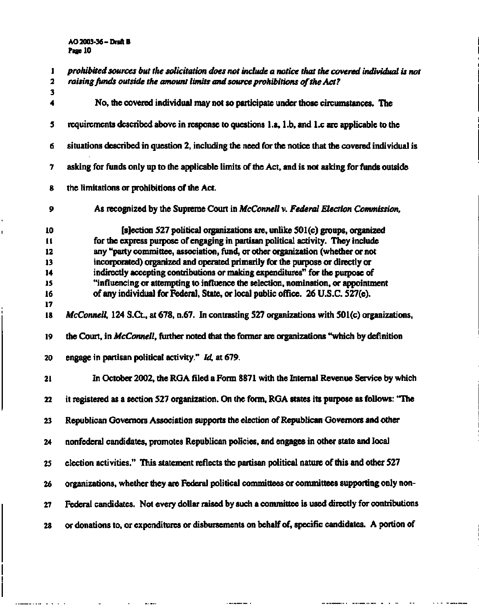ı

I

والدارون والمتناصبين

 $\bar{\mathcal{A}}$ 

 $\bar{\phantom{a}}$ 

 $\frac{1}{2}$  and  $\frac{1}{2}$ 

| 1<br>$\mathbf{2}$ | prohibited sources but the solicitation does not include a notice that the covered individual is not<br>raising funds outside the amount limits and source prohibitions of the Act? |
|-------------------|-------------------------------------------------------------------------------------------------------------------------------------------------------------------------------------|
| 3                 |                                                                                                                                                                                     |
| 4                 | No, the covered individual may not so participate under those circumstances. The                                                                                                    |
| 5                 | requirements described above in response to questions 1.a, 1.b, and 1.c are applicable to the                                                                                       |
| 6                 | situations described in question 2, including the need for the notice that the covered individual is                                                                                |
| 7                 | asking for funds only up to the applicable limits of the Act, and is not asking for funds outside                                                                                   |
| 8                 | the limitations or prohibitions of the Act.                                                                                                                                         |
| 9                 | As recognized by the Supreme Court in McConnell v. Federal Election Commission,                                                                                                     |
| 10                | [s]ection 527 political organizations are, unlike 501(c) groups, organized                                                                                                          |
| $\mathbf{u}$      | for the express purpose of engaging in partisan political activity. They include                                                                                                    |
| 12                | any "party committee, association, fund, or other organization (whether or not                                                                                                      |
| 13                | incorporated) organized and operated primarily for the purpose or directly or                                                                                                       |
| 14                | indirectly accepting contributions or making expenditures" for the purpose of                                                                                                       |
| 15                | "influencing or attempting to influence the selection, nomination, or appointment                                                                                                   |
| 16                | of any individual for Federal, State, or local public office. 26 U.S.C. 527(e).                                                                                                     |
| 17                |                                                                                                                                                                                     |
| 18                | McConnell, 124 S.Ct., at 678, n.67. In contrasting 527 organizations with 501(c) organizations,                                                                                     |
| 19                | the Court, in McConnell, further noted that the former are organizations "which by definition                                                                                       |
| 20                | engage in partisan political activity." Id, at 679.                                                                                                                                 |
| 21                | In October 2002, the RGA filed a Form 8871 with the Internal Revenue Service by which                                                                                               |
| 22                | it registered as a section 527 organization. On the form, RGA states its purpose as follows: "The                                                                                   |
| 23                | Republican Governors Association supports the election of Republican Governors and other                                                                                            |
| 24                | nonfederal candidates, promotes Republican policies, and engages in other state and local                                                                                           |
| 25                | election activities." This statement reflects the partisan political nature of this and other 527                                                                                   |
| 26                | organizations, whether they are Federal political committees or committees supporting only non-                                                                                     |
| 27                | Federal candidates. Not every dollar raised by such a committee is used directly for contributions                                                                                  |
| 28                | or donations to, or expenditures or disbursements on behalf of, specific candidates. A portion of                                                                                   |

a kacamatan T

manager and not the

 $\overline{\phantom{a}}$  .

 $\overline{\phantom{a}}$ 

<u>. . . . . . . . . .</u>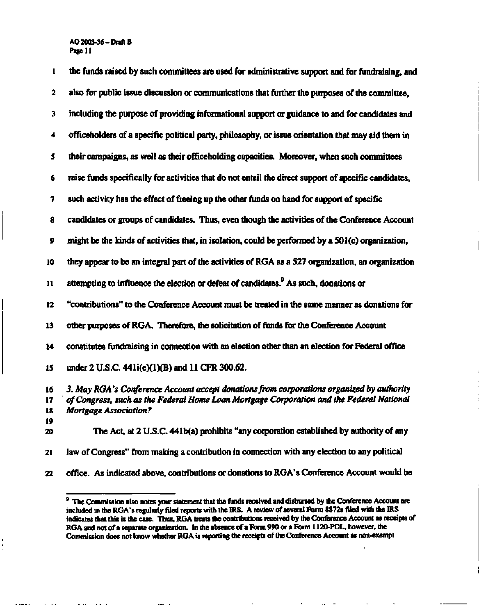# **AO 2003-36-Draft B Page 11**

| 1                    | the funds raised by such committees are used for administrative support and for fundraising, and                                                                                                                      |
|----------------------|-----------------------------------------------------------------------------------------------------------------------------------------------------------------------------------------------------------------------|
| 2                    | also for public issue discussion or communications that further the purposes of the committee,                                                                                                                        |
| 3                    | including the purpose of providing informational support or guidance to and for candidates and                                                                                                                        |
| 4                    | officeholders of a specific political party, philosophy, or issue orientation that may aid them in                                                                                                                    |
| 5                    | their campaigns, as well as their officeholding capacities. Moreover, when such committees                                                                                                                            |
| 6                    | raise funds specifically for activities that do not entail the direct support of specific candidates,                                                                                                                 |
| 7                    | such activity has the effect of freeing up the other funds on hand for support of specific                                                                                                                            |
| 8                    | candidates or groups of candidates. Thus, even though the activities of the Conference Account                                                                                                                        |
| 9                    | might be the kinds of activities that, in isolation, could be performed by a 501(c) organization,                                                                                                                     |
| 10                   | they appear to be an integral part of the activities of RGA as a 527 organization, an organization                                                                                                                    |
| 11                   | attempting to influence the election or defeat of candidates. <sup>9</sup> As such, donations or                                                                                                                      |
| 12                   | "contributions" to the Conference Account must be treated in the same manner as donations for                                                                                                                         |
| 13                   | other purposes of RGA. Therefore, the solicitation of funds for the Conference Account                                                                                                                                |
| 14                   | constitutes fundraising in connection with an election other than an election for Federal office                                                                                                                      |
| 15                   | under 2 U.S.C. 441i(e)(1)(B) and 11 CFR 300.62.                                                                                                                                                                       |
| 16<br>17<br>18<br>19 | 3. May RGA's Conference Account accept donations from corporations organized by authority<br>of Congress, such as the Federal Home Loan Mortgage Corporation and the Federal National<br><b>Mortgage Association?</b> |
| 20                   | The Act, at 2 U.S.C. 441b(a) prohibits "any corporation established by authority of any                                                                                                                               |
| 21                   | law of Congress" from making a contribution in connection with any election to any political                                                                                                                          |

 $22$ 

 $\sim 100$  km s  $^{-1}$ 

 $\frac{1}{2}$  and  $\frac{1}{2}$ 

 $\mathcal{L}_{\text{max}}$  . The  $\mathcal{L}_{\text{max}}$ 

 $\frac{1}{2}$  and  $\frac{1}{2}$ 

ı Ì

 $\ddot{\phantom{0}}$ 

 $\alpha\rightarrow\infty$ 

 $\mathbf{r}$ 

 $\ddot{\phantom{a}}$ 

**<sup>22</sup> office. As indicated above, contributions or donations to RGA's Conference Account would be** 

**<sup>9</sup> The Commission also notes your statement that the funds received and disbursed by die Conference Account are included in the RGA's regularly filed reports with the IRS. A review of several Form 8872s filed with the IRS indicates that this is the case. Thus, RGA treats the contributions received by the Conference Account as receipts of RGA and not of a separate organization. In the absence of a Form 990 or a Form 1120-POL, however, the Commission does not know whether RGA is reporting the receipts of the Conference Account as non-exempt**